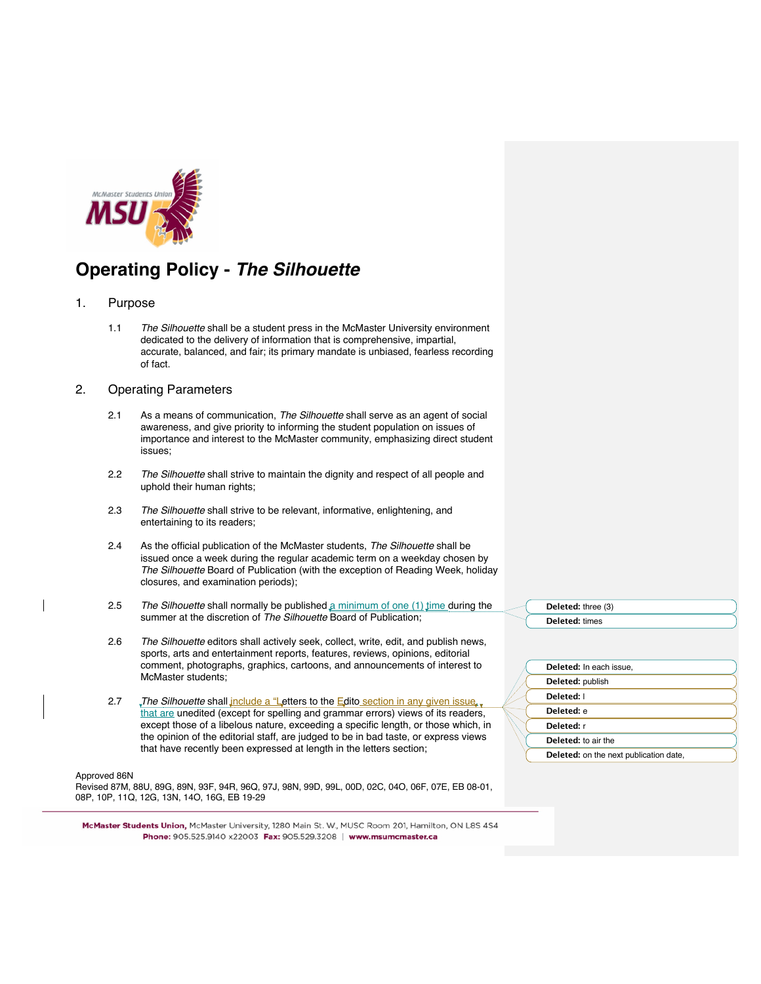

## **Operating Policy -** *The Silhouette*

- 1. Purpose
	- 1.1 *The Silhouette* shall be a student press in the McMaster University environment dedicated to the delivery of information that is comprehensive, impartial, accurate, balanced, and fair; its primary mandate is unbiased, fearless recording of fact.

## 2. Operating Parameters

- 2.1 As a means of communication, *The Silhouette* shall serve as an agent of social awareness, and give priority to informing the student population on issues of importance and interest to the McMaster community, emphasizing direct student issues;
- 2.2 *The Silhouette* shall strive to maintain the dignity and respect of all people and uphold their human rights;
- 2.3 *The Silhouette* shall strive to be relevant, informative, enlightening, and entertaining to its readers;
- 2.4 As the official publication of the McMaster students, *The Silhouette* shall be issued once a week during the regular academic term on a weekday chosen by *The Silhouette* Board of Publication (with the exception of Reading Week, holiday closures, and examination periods);
- 2.5 *The Silhouette* shall normally be published a minimum of one (1) time during the summer at the discretion of *The Silhouette* Board of Publication;
- 2.6 *The Silhouette* editors shall actively seek, collect, write, edit, and publish news, sports, arts and entertainment reports, features, reviews, opinions, editorial comment, photographs, graphics, cartoons, and announcements of interest to McMaster students;
- 2.7 *The Silhouette* shall include a "Letters to the Edito section in any given issue. that are unedited (except for spelling and grammar errors) views of its readers, except those of a libelous nature, exceeding a specific length, or those which, in the opinion of the editorial staff, are judged to be in bad taste, or express views that have recently been expressed at length in the letters section;

## Approved 86N

Revised 87M, 88U, 89G, 89N, 93F, 94R, 96Q, 97J, 98N, 99D, 99L, 00D, 02C, 04O, 06F, 07E, EB 08-01, 08P, 10P, 11Q, 12G, 13N, 14O, 16G, EB 19-29

McMaster Students Union, McMaster University, 1280 Main St. W., MUSC Room 201, Hamilton, ON L8S 4S4 

**Deleted:** three (3) **Deleted:** times

| Deleted: In each issue.                       |  |
|-----------------------------------------------|--|
| Deleted: publish                              |  |
| Deleted: I                                    |  |
| Deleted: e                                    |  |
| Deleted: r                                    |  |
| Deleted: to air the                           |  |
| <b>Deleted:</b> on the next publication date, |  |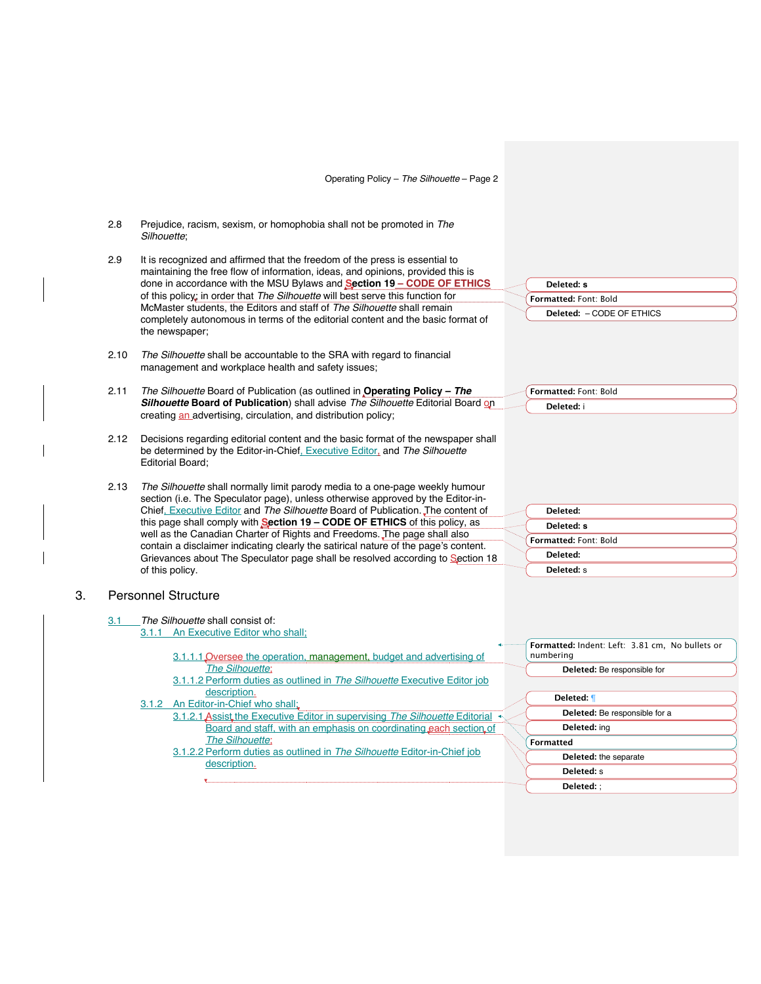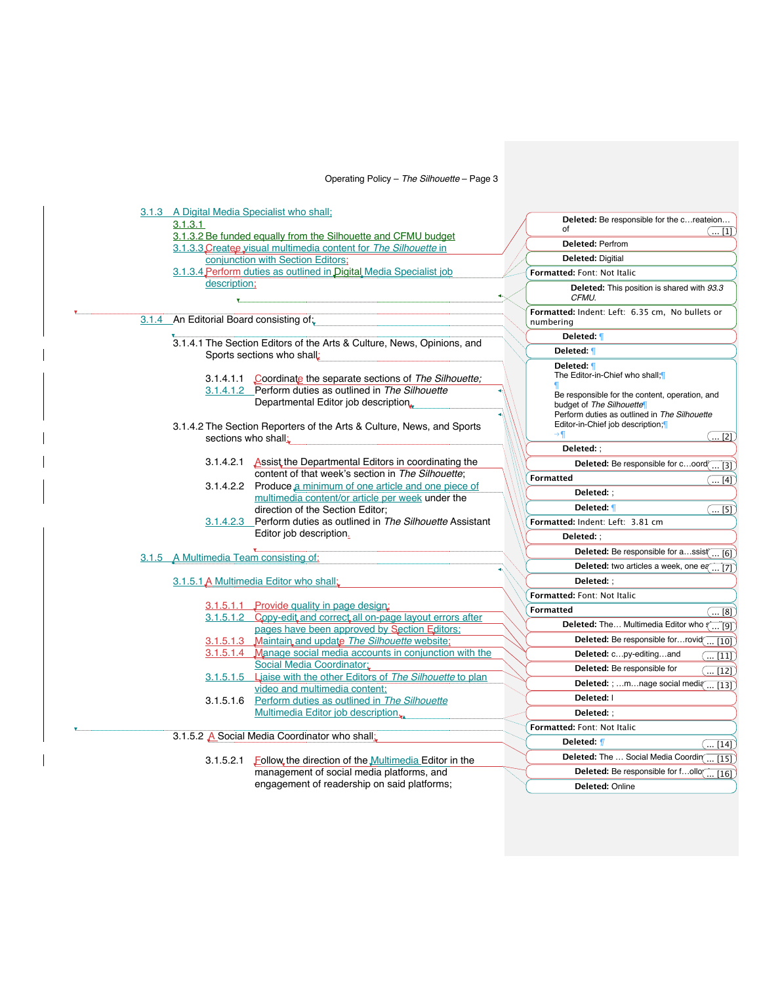| 3.1.3 A Digital Media Specialist who shall: |                                                                                                                 |                                                                          |
|---------------------------------------------|-----------------------------------------------------------------------------------------------------------------|--------------------------------------------------------------------------|
| 3.1.3.1                                     |                                                                                                                 | Deleted: Be responsible for the c reateion                               |
|                                             | 3.1.3.2 Be funded equally from the Silhouette and CFMU budget                                                   | of<br>$\left( \text{ }\text{ } \left[ 1\right] \right)$                  |
|                                             | 3.1.3.3 Createe visual multimedia content for The Silhouette in                                                 | <b>Deleted: Perfrom</b>                                                  |
|                                             | conjunction with Section Editors;                                                                               | <b>Deleted: Digitial</b>                                                 |
|                                             | 3.1.3.4 Perform duties as outlined in Digital Media Specialist job                                              | Formatted: Font: Not Italic                                              |
| description;                                |                                                                                                                 | Deleted: This position is shared with 93.3<br>CFMU.                      |
| 3.1.4 An Editorial Board consisting of:     |                                                                                                                 | Formatted: Indent: Left: 6.35 cm, No bullets or<br>numbering             |
|                                             | 3.1.4.1 The Section Editors of the Arts & Culture, News, Opinions, and                                          | Deleted: ¶                                                               |
|                                             | Sports sections who shall:                                                                                      | Deleted: 1                                                               |
|                                             |                                                                                                                 | Deleted: 1                                                               |
|                                             | 3.1.4.1.1 Coordinate the separate sections of The Silhouette;                                                   | The Editor-in-Chief who shall;[                                          |
|                                             | 3.1.4.1.2 Perform duties as outlined in The Silhouette                                                          | Be responsible for the content, operation, and                           |
|                                             | Departmental Editor job description                                                                             | budget of The Silhouette                                                 |
|                                             |                                                                                                                 | Perform duties as outlined in The Silhouette                             |
|                                             | 3.1.4.2 The Section Reporters of the Arts & Culture, News, and Sports                                           | Editor-in-Chief job description;<br>( [2])                               |
| sections who shall:                         |                                                                                                                 | Deleted: ;                                                               |
|                                             | 3.1.4.2.1 Assist the Departmental Editors in coordinating the                                                   | Deleted: Be responsible for coord                                        |
|                                             | content of that week's section in The Silhouette;                                                               | $\ldots$ [3]<br><b>Formatted</b>                                         |
|                                             | 3.1.4.2.2 Produce a minimum of one article and one piece of                                                     | (… [4])                                                                  |
|                                             | multimedia content/or article per week under the                                                                | Deleted: ;                                                               |
|                                             | direction of the Section Editor;                                                                                | Deleted: 1<br>$\left( \dots \left[ 5\right] \right)$                     |
|                                             | 3.1.4.2.3 Perform duties as outlined in The Silhouette Assistant<br>Editor job description.                     | Formatted: Indent: Left: 3.81 cm                                         |
|                                             |                                                                                                                 | Deleted: ;                                                               |
| 3.1.5 A Multimedia Team consisting of:      |                                                                                                                 | Deleted: Be responsible for assist( [6])                                 |
|                                             |                                                                                                                 | Deleted: two articles a week, one eq  [7]                                |
|                                             | 3.1.5.1 A Multimedia Editor who shall;                                                                          | Deleted: ;                                                               |
|                                             |                                                                                                                 | Formatted: Font: Not Italic                                              |
|                                             | 3.1.5.1.1 Provide quality in page design:                                                                       | <b>Formatted</b><br>$\left( \left[ 8\right] \right)$                     |
|                                             | 3.1.5.1.2 Copy-edit and correct all on-page layout errors after<br>pages have been approved by Section Editors; | Deleted: The Multimedia Editor who a<br>$\overline{}$ [9]                |
|                                             | 3.1.5.1.3 Maintain and update The Silhouette website;                                                           | Deleted: Be responsible forrovid<br>$\left[\ldots\left[10\right]\right)$ |
|                                             | 3.1.5.1.4 Manage social media accounts in conjunction with the                                                  | Deleted: cpy-editingand<br>$\left[ \dots \left[ 11\right] \right)$       |
|                                             | Social Media Coordinator:                                                                                       | Deleted: Be responsible for<br>$\overline{\ldots}$ [12])                 |
|                                             | 3.1.5.1.5 Liaise with the other Editors of The Silhouette to plan                                               | Deleted: ; mnage social media  [13]                                      |
|                                             | video and multimedia content:                                                                                   | Deleted:                                                                 |
|                                             | 3.1.5.1.6 Perform duties as outlined in The Silhouette<br>Multimedia Editor job description.                    | Deleted: :                                                               |
|                                             |                                                                                                                 |                                                                          |
|                                             | 3.1.5.2 A Social Media Coordinator who shall:                                                                   | Formatted: Font: Not Italic                                              |
|                                             |                                                                                                                 | Deleted: <i>¶</i><br>$\left( \left[ 14\right] \right)$                   |
|                                             | 3.1.5.2.1 Follow the direction of the Multimedia Editor in the                                                  | Deleted: The  Social Media Coordin( [15])                                |
|                                             | management of social media platforms, and                                                                       | Deleted: Be responsible for follo( [16])                                 |
|                                             | engagement of readership on said platforms;                                                                     | Deleted: Online                                                          |
|                                             |                                                                                                                 |                                                                          |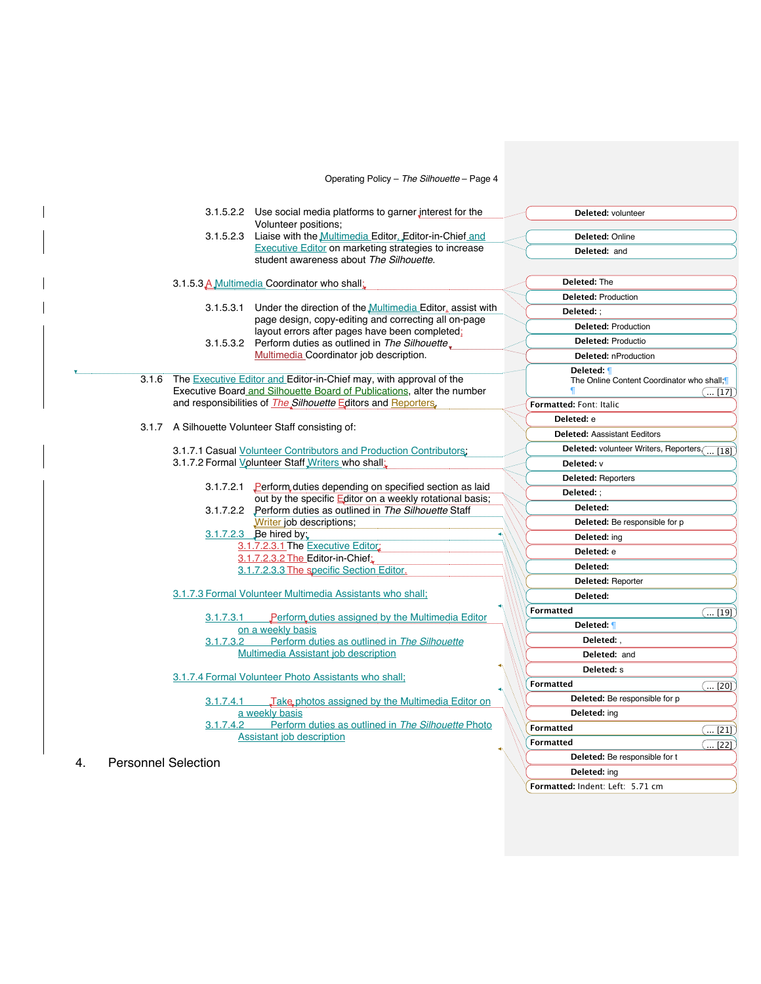|                 | Operating Policy - The Silhouette - Page 4                                                                                                           |                                                                                                   |
|-----------------|------------------------------------------------------------------------------------------------------------------------------------------------------|---------------------------------------------------------------------------------------------------|
|                 | 3.1.5.2.2 Use social media platforms to garner interest for the<br>Volunteer positions;                                                              | Deleted: volunteer                                                                                |
|                 | 3.1.5.2.3 Liaise with the Multimedia Editor. Editor-in-Chief and                                                                                     | Deleted: Online                                                                                   |
|                 | <b>Executive Editor on marketing strategies to increase</b><br>student awareness about The Silhouette.                                               | Deleted: and                                                                                      |
|                 | 3.1.5.3 A Multimedia Coordinator who shall.                                                                                                          | Deleted: The                                                                                      |
|                 |                                                                                                                                                      | <b>Deleted: Production</b>                                                                        |
|                 | 3.1.5.3.1 Under the direction of the <i>Multimedia</i> Editor <sub>+</sub> assist with                                                               | Deleted: ;                                                                                        |
|                 | page design, copy-editing and correcting all on-page                                                                                                 | <b>Deleted: Production</b>                                                                        |
|                 | layout errors after pages have been completed;                                                                                                       | <b>Deleted: Productio</b>                                                                         |
|                 | 3.1.5.3.2 Perform duties as outlined in The Silhouette,<br>Multimedia Coordinator job description.                                                   | Deleted: nProduction                                                                              |
|                 |                                                                                                                                                      |                                                                                                   |
| 3.1.6           | The <b>Executive Editor and Editor-in-Chief may</b> , with approval of the<br>Executive Board and Silhouette Board of Publications, alter the number | Deleted: ¶<br>The Online Content Coordinator who shall;<br>$\left( \,\, \left[ 17\right] \right)$ |
|                 | and responsibilities of <i>The Silhouette</i> Editors and Reporters.                                                                                 | Formatted: Font: Italic                                                                           |
|                 |                                                                                                                                                      | Deleted: e                                                                                        |
|                 | 3.1.7 A Silhouette Volunteer Staff consisting of:                                                                                                    | <b>Deleted: Aassistant Eeditors</b>                                                               |
|                 | 3.1.7.1 Casual Volunteer Contributors and Production Contributors.                                                                                   | Deleted: volunteer Writers, Reporters ( [18]                                                      |
|                 | 3.1.7.2 Formal Volunteer Staff Writers who shall:                                                                                                    | Deleted: v                                                                                        |
|                 |                                                                                                                                                      | <b>Deleted: Reporters</b>                                                                         |
|                 | 3.1.7.2.1 Perform duties depending on specified section as laid                                                                                      | Deleted: ;                                                                                        |
|                 | out by the specific Editor on a weekly rotational basis;                                                                                             | Deleted:                                                                                          |
|                 | 3.1.7.2.2 Perform duties as outlined in The Silhouette Staff<br>Writer job descriptions;                                                             | Deleted: Be responsible for p                                                                     |
|                 | 3.1.7.2.3 Be hired by:                                                                                                                               |                                                                                                   |
|                 | 3.1.7.2.3.1 The Executive Editor:                                                                                                                    | <b>Deleted:</b> ing                                                                               |
|                 | 3.1.7.2.3.2 The Editor-in-Chief:                                                                                                                     | Deleted: e                                                                                        |
|                 | 3.1.7.2.3.3 The specific Section Editor.                                                                                                             | Deleted:                                                                                          |
|                 |                                                                                                                                                      | Deleted: Reporter                                                                                 |
|                 | 3.1.7.3 Formal Volunteer Multimedia Assistants who shall;                                                                                            | Deleted:                                                                                          |
|                 |                                                                                                                                                      | <b>Formatted</b><br>([19])                                                                        |
| 3.1.7.3.1       | Perform duties assigned by the Multimedia Editor<br>on a weekly basis                                                                                | Deleted: 1                                                                                        |
| 3.1.7.3.2       | Perform duties as outlined in The Silhouette                                                                                                         | Deleted:                                                                                          |
|                 | Multimedia Assistant job description                                                                                                                 | Deleted: and                                                                                      |
|                 |                                                                                                                                                      | Deleted: s                                                                                        |
|                 | 3.1.7.4 Formal Volunteer Photo Assistants who shall;                                                                                                 | <b>Formatted</b><br>$\left( \left[ 20\right] \right)$                                             |
| 3.1.7.4.1       | Take photos assigned by the Multimedia Editor on                                                                                                     | Deleted: Be responsible for p                                                                     |
|                 | a weekly basis                                                                                                                                       | Deleted: ing                                                                                      |
| 3.1.7.4.2       | Perform duties as outlined in The Silhouette Photo                                                                                                   | <b>Formatted</b><br>$\overline{(\dots [21])}$                                                     |
|                 | <b>Assistant job description</b>                                                                                                                     | <b>Formatted</b><br>( [22])                                                                       |
| فلمستقط المرابط |                                                                                                                                                      | Deleted: Be responsible for t                                                                     |

**Deleted:** ing **Formatted:** Indent: Left: 5.71 cm

4. Personnel Selection

 $\mathbf{I}$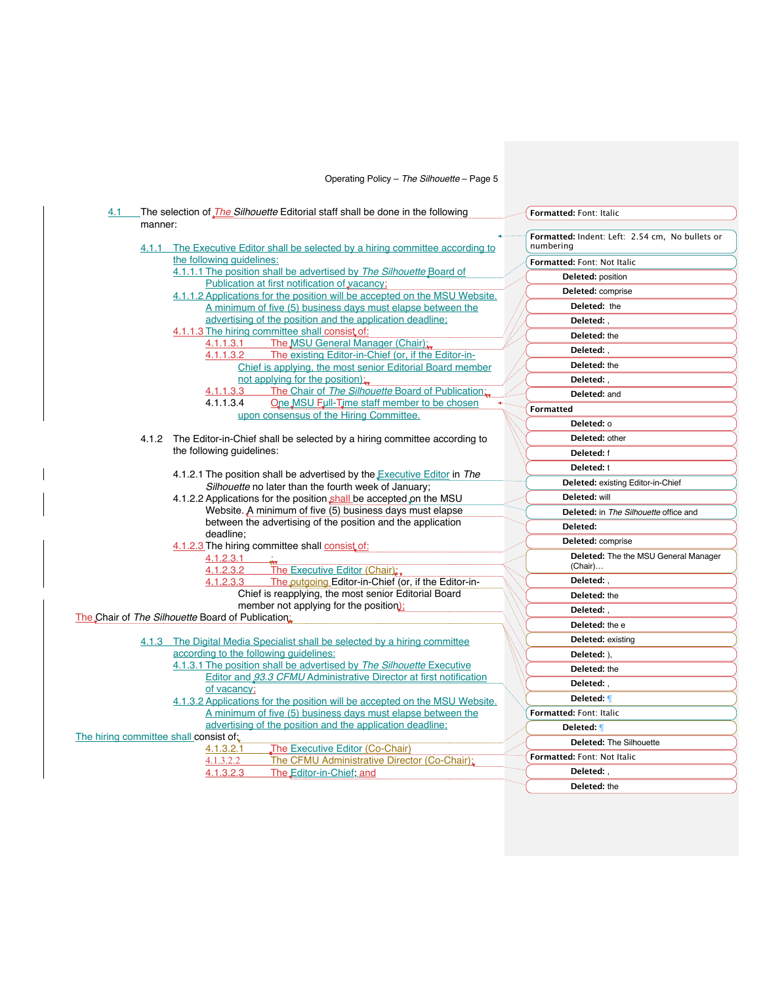| 4.1                                    | The selection of <i>The Silhouette</i> Editorial staff shall be done in the following                                       |  | Formatted: Font: Italic                                      |
|----------------------------------------|-----------------------------------------------------------------------------------------------------------------------------|--|--------------------------------------------------------------|
|                                        | manner:                                                                                                                     |  |                                                              |
|                                        | 4.1.1 The Executive Editor shall be selected by a hiring committee according to                                             |  | Formatted: Indent: Left: 2.54 cm, No bullets or<br>numbering |
|                                        | the following guidelines:                                                                                                   |  | Formatted: Font: Not Italic                                  |
|                                        | 4.1.1.1 The position shall be advertised by The Silhouette Board of                                                         |  | Deleted: position                                            |
|                                        | Publication at first notification of vacancy;<br>4.1.1.2 Applications for the position will be accepted on the MSU Website. |  | Deleted: comprise                                            |
|                                        | A minimum of five (5) business days must elapse between the                                                                 |  | Deleted: the                                                 |
|                                        | advertising of the position and the application deadline;                                                                   |  | Deleted: .                                                   |
|                                        | 4.1.1.3 The hiring committee shall consist of:                                                                              |  | Deleted: the                                                 |
|                                        | The MSU General Manager (Chair);<br>4.1.1.3.1                                                                               |  |                                                              |
|                                        | The existing Editor-in-Chief (or, if the Editor-in-<br>4.1.1.3.2                                                            |  | Deleted:,                                                    |
|                                        | Chief is applying, the most senior Editorial Board member                                                                   |  | Deleted: the                                                 |
|                                        | not applying for the position);                                                                                             |  | Deleted:                                                     |
|                                        | The Chair of The Silhouette Board of Publication:<br>4.1.1.3.3<br>4.1.1.3.4<br>One MSU Full-Time staff member to be chosen  |  | Deleted: and                                                 |
|                                        | upon consensus of the Hiring Committee.                                                                                     |  | <b>Formatted</b>                                             |
|                                        |                                                                                                                             |  | Deleted: o                                                   |
|                                        | 4.1.2 The Editor-in-Chief shall be selected by a hiring committee according to                                              |  | Deleted: other                                               |
|                                        | the following guidelines:                                                                                                   |  | Deleted: f                                                   |
|                                        |                                                                                                                             |  | Deleted: t                                                   |
|                                        | 4.1.2.1 The position shall be advertised by the Executive Editor in The                                                     |  | Deleted: existing Editor-in-Chief                            |
|                                        | Silhouette no later than the fourth week of January;<br>4.1.2.2 Applications for the position shall be accepted on the MSU  |  | Deleted: will                                                |
|                                        | Website. A minimum of five (5) business days must elapse                                                                    |  | Deleted: in The Silhouette office and                        |
|                                        | between the advertising of the position and the application                                                                 |  | Deleted:                                                     |
|                                        | deadline:                                                                                                                   |  |                                                              |
|                                        | 4.1.2.3 The hiring committee shall consist of:                                                                              |  | Deleted: comprise                                            |
|                                        | 4.1.2.3.1<br>4.1.2.3.2<br>The Executive Editor (Chair);                                                                     |  | Deleted: The the MSU General Manager<br>(Chair)              |
|                                        | The outgoing Editor-in-Chief (or, if the Editor-in-<br>4.1.2.3.3                                                            |  | Deleted: .                                                   |
|                                        | Chief is reapplying, the most senior Editorial Board                                                                        |  | Deleted: the                                                 |
|                                        | member not applying for the position);                                                                                      |  | Deleted:                                                     |
|                                        | The Chair of The Silhouette Board of Publication:                                                                           |  | Deleted: the e                                               |
|                                        | 4.1.3 The Digital Media Specialist shall be selected by a hiring committee                                                  |  | <b>Deleted:</b> existing                                     |
|                                        | according to the following quidelines:                                                                                      |  | Deleted: ),                                                  |
|                                        | 4.1.3.1 The position shall be advertised by The Silhouette Executive                                                        |  | Deleted: the                                                 |
|                                        | Editor and 93.3 CFMU Administrative Director at first notification                                                          |  | Deleted: .                                                   |
|                                        | of vacancy:                                                                                                                 |  |                                                              |
|                                        | 4.1.3.2 Applications for the position will be accepted on the MSU Website.                                                  |  | Deleted: 1                                                   |
|                                        | A minimum of five (5) business days must elapse between the<br>advertising of the position and the application deadline;    |  | Formatted: Font: Italic                                      |
| The hiring committee shall consist of. |                                                                                                                             |  | Deleted: ¶                                                   |
|                                        | The Executive Editor (Co-Chair)<br>4.1.3.2.1                                                                                |  | <b>Deleted: The Silhouette</b>                               |
|                                        | The CFMU Administrative Director (Co-Chair);<br>4.1.3.2.2                                                                   |  | Formatted: Font: Not Italic                                  |
|                                        | 4.1.3.2.3<br>The Editor-in-Chief, and                                                                                       |  | Deleted: .                                                   |
|                                        |                                                                                                                             |  | Deleted: the                                                 |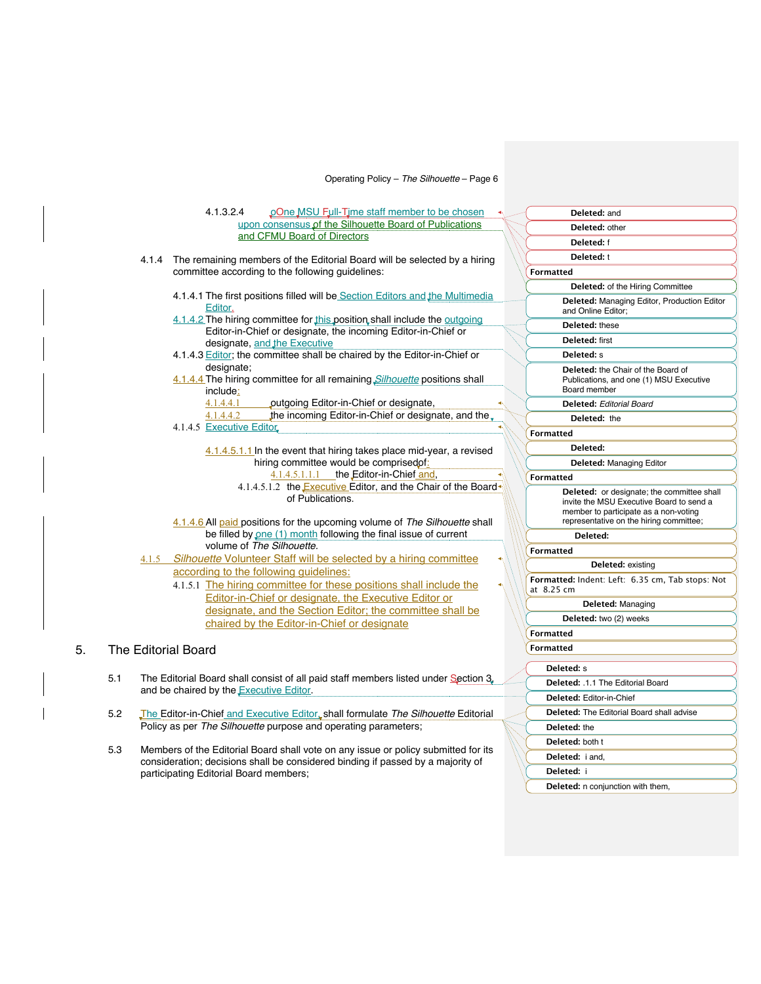|    |     |       | 4.1.3.2.4                                                                                                                                                                                                                                                                                      | pOne MSU Full-Time staff member to be chosen                                                                                                                           |                          | Deleted: and                                                                                                                                                               |
|----|-----|-------|------------------------------------------------------------------------------------------------------------------------------------------------------------------------------------------------------------------------------------------------------------------------------------------------|------------------------------------------------------------------------------------------------------------------------------------------------------------------------|--------------------------|----------------------------------------------------------------------------------------------------------------------------------------------------------------------------|
|    |     |       |                                                                                                                                                                                                                                                                                                | upon consensus of the Silhouette Board of Publications                                                                                                                 |                          | Deleted: other                                                                                                                                                             |
|    |     |       |                                                                                                                                                                                                                                                                                                | and CFMU Board of Directors                                                                                                                                            |                          | Deleted: f                                                                                                                                                                 |
|    |     |       |                                                                                                                                                                                                                                                                                                | 4.1.4 The remaining members of the Editorial Board will be selected by a hiring                                                                                        |                          | Deleted: t                                                                                                                                                                 |
|    |     |       |                                                                                                                                                                                                                                                                                                | committee according to the following guidelines:                                                                                                                       |                          | <b>Formatted</b>                                                                                                                                                           |
|    |     |       |                                                                                                                                                                                                                                                                                                |                                                                                                                                                                        |                          | Deleted: of the Hiring Committee                                                                                                                                           |
|    |     |       | Editor.                                                                                                                                                                                                                                                                                        | 4.1.4.1 The first positions filled will be Section Editors and the Multimedia                                                                                          |                          | Deleted: Managing Editor, Production Editor<br>and Online Editor;                                                                                                          |
|    |     |       |                                                                                                                                                                                                                                                                                                | 4.1.4.2 The hiring committee for this position shall include the outgoing                                                                                              |                          | Deleted: these                                                                                                                                                             |
|    |     |       |                                                                                                                                                                                                                                                                                                | Editor-in-Chief or designate, the incoming Editor-in-Chief or<br>designate, and the Executive                                                                          |                          | Deleted: first                                                                                                                                                             |
|    |     |       |                                                                                                                                                                                                                                                                                                | 4.1.4.3 Editor; the committee shall be chaired by the Editor-in-Chief or                                                                                               |                          | Deleted: s                                                                                                                                                                 |
|    |     |       | designate;<br>include:                                                                                                                                                                                                                                                                         | 4.1.4.4 The hiring committee for all remaining Silhouette positions shall                                                                                              |                          | <b>Deleted:</b> the Chair of the Board of<br>Publications, and one (1) MSU Executive<br>Board member                                                                       |
|    |     |       | 4.1.4.4.1                                                                                                                                                                                                                                                                                      | outgoing Editor-in-Chief or designate,                                                                                                                                 |                          | <b>Deleted: Editorial Board</b>                                                                                                                                            |
|    |     |       | 4.1.4.4.2                                                                                                                                                                                                                                                                                      | the incoming Editor-in-Chief or designate, and the                                                                                                                     |                          | Deleted: the                                                                                                                                                               |
|    |     |       | 4.1.4.5 Executive Editor                                                                                                                                                                                                                                                                       |                                                                                                                                                                        |                          | <b>Formatted</b>                                                                                                                                                           |
|    |     |       |                                                                                                                                                                                                                                                                                                | 4.1.4.5.1.1 In the event that hiring takes place mid-year, a revised                                                                                                   |                          | Deleted:                                                                                                                                                                   |
|    |     |       |                                                                                                                                                                                                                                                                                                | hiring committee would be comprised of:                                                                                                                                |                          | <b>Deleted: Managing Editor</b>                                                                                                                                            |
|    |     |       |                                                                                                                                                                                                                                                                                                | 4.1.4.5.1.1.1 the Editor-in-Chief and,                                                                                                                                 |                          | <b>Formatted</b>                                                                                                                                                           |
|    |     |       |                                                                                                                                                                                                                                                                                                | 4.1.4.5.1.2 the <b>Executive Editor</b> , and the Chair of the Board<br>of Publications.<br>4.1.4.6 All paid positions for the upcoming volume of The Silhouette shall |                          | Deleted: or designate; the committee shall<br>invite the MSU Executive Board to send a<br>member to participate as a non-voting<br>representative on the hiring committee; |
|    |     |       |                                                                                                                                                                                                                                                                                                | be filled by one (1) month following the final issue of current                                                                                                        |                          | Deleted:                                                                                                                                                                   |
|    |     |       |                                                                                                                                                                                                                                                                                                | volume of The Silhouette.                                                                                                                                              |                          | <b>Formatted</b>                                                                                                                                                           |
|    |     | 4.1.5 |                                                                                                                                                                                                                                                                                                | Silhouette Volunteer Staff will be selected by a hiring committee                                                                                                      |                          | Deleted: existing                                                                                                                                                          |
|    |     |       |                                                                                                                                                                                                                                                                                                | according to the following guidelines:<br>4.1.5.1 The hiring committee for these positions shall include the                                                           |                          | Formatted: Indent: Left: 6.35 cm, Tab stops: Not<br>at 8.25 cm                                                                                                             |
|    |     |       |                                                                                                                                                                                                                                                                                                | Editor-in-Chief or designate, the Executive Editor or                                                                                                                  |                          | Deleted: Managing                                                                                                                                                          |
|    |     |       |                                                                                                                                                                                                                                                                                                | designate, and the Section Editor; the committee shall be<br>chaired by the Editor-in-Chief or designate                                                               |                          | Deleted: two (2) weeks                                                                                                                                                     |
|    |     |       |                                                                                                                                                                                                                                                                                                |                                                                                                                                                                        |                          | <b>Formatted</b>                                                                                                                                                           |
| 5. |     |       | The Editorial Board                                                                                                                                                                                                                                                                            |                                                                                                                                                                        |                          | <b>Formatted</b>                                                                                                                                                           |
|    |     |       |                                                                                                                                                                                                                                                                                                |                                                                                                                                                                        |                          | <b>Deleted:</b> s                                                                                                                                                          |
|    | 5.1 |       | The Editorial Board shall consist of all paid staff members listed under Section 3.<br>and be chaired by the <b>Executive Editor</b> .<br>The Editor-in-Chief and Executive Editor, shall formulate The Silhouette Editorial<br>Policy as per The Silhouette purpose and operating parameters; |                                                                                                                                                                        |                          | Deleted: .1.1 The Editorial Board                                                                                                                                          |
|    |     |       |                                                                                                                                                                                                                                                                                                |                                                                                                                                                                        | Deleted: Editor-in-Chief |                                                                                                                                                                            |
|    |     |       |                                                                                                                                                                                                                                                                                                |                                                                                                                                                                        |                          | <b>Deleted:</b> The Editorial Board shall advise                                                                                                                           |
|    | 5.2 |       |                                                                                                                                                                                                                                                                                                |                                                                                                                                                                        |                          | Deleted: the                                                                                                                                                               |
|    |     |       |                                                                                                                                                                                                                                                                                                |                                                                                                                                                                        |                          |                                                                                                                                                                            |
|    | 5.3 |       |                                                                                                                                                                                                                                                                                                | Members of the Editorial Board shall vote on any issue or policy submitted for its                                                                                     |                          | Deleted: both t                                                                                                                                                            |
|    |     |       |                                                                                                                                                                                                                                                                                                | consideration: decisions aboll be considered binding if nessed by a mojerity of                                                                                        |                          | Deleted: i and.                                                                                                                                                            |

**Deleted:** i

**Deleted: n** conjunction with them,

5.3 Members of the Editorial Board shall vote on any issue or policy submitted for its consideration; decisions shall be considered binding if passed by a majority of participating Editorial Board members;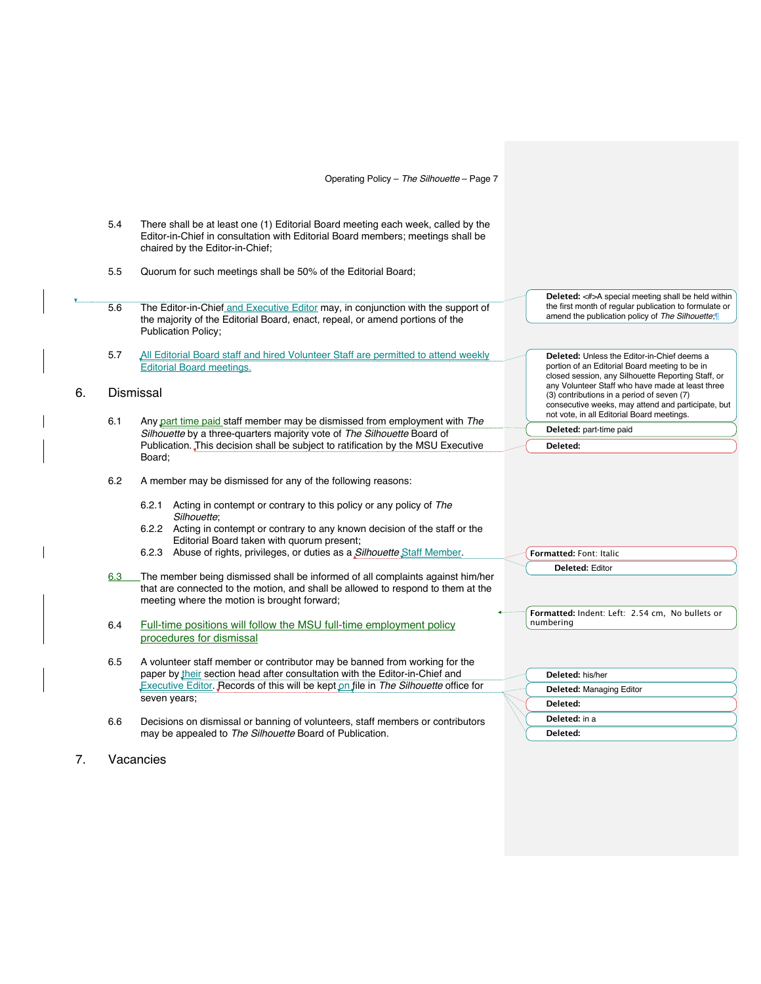|    | 5.4 | There shall be at least one (1) Editorial Board meeting each week, called by the<br>Editor-in-Chief in consultation with Editorial Board members; meetings shall be<br>chaired by the Editor-in-Chief; |                                                                                                                                                                                                    |
|----|-----|--------------------------------------------------------------------------------------------------------------------------------------------------------------------------------------------------------|----------------------------------------------------------------------------------------------------------------------------------------------------------------------------------------------------|
|    | 5.5 | Quorum for such meetings shall be 50% of the Editorial Board;                                                                                                                                          |                                                                                                                                                                                                    |
|    | 5.6 | The Editor-in-Chief and Executive Editor may, in conjunction with the support of<br>the majority of the Editorial Board, enact, repeal, or amend portions of the<br><b>Publication Policy;</b>         | Deleted: <#>A special meeting shall be held within<br>the first month of regular publication to formulate or<br>amend the publication policy of The Silhouette;                                    |
|    | 5.7 | All Editorial Board staff and hired Volunteer Staff are permitted to attend weekly                                                                                                                     | <b>Deleted:</b> Unless the Editor-in-Chief deems a                                                                                                                                                 |
|    |     | <b>Editorial Board meetings.</b>                                                                                                                                                                       | portion of an Editorial Board meeting to be in<br>closed session, any Silhouette Reporting Staff, or                                                                                               |
| 6. |     | Dismissal                                                                                                                                                                                              | any Volunteer Staff who have made at least three<br>(3) contributions in a period of seven (7)<br>consecutive weeks, may attend and participate, but<br>not vote, in all Editorial Board meetings. |
|    | 6.1 | Any part time paid staff member may be dismissed from employment with The<br>Silhouette by a three-quarters majority vote of The Silhouette Board of                                                   | Deleted: part-time paid                                                                                                                                                                            |
|    |     | Publication. This decision shall be subject to ratification by the MSU Executive                                                                                                                       | Deleted:                                                                                                                                                                                           |
|    |     | Board;                                                                                                                                                                                                 |                                                                                                                                                                                                    |
|    | 6.2 | A member may be dismissed for any of the following reasons:                                                                                                                                            |                                                                                                                                                                                                    |
|    |     | 6.2.1 Acting in contempt or contrary to this policy or any policy of The<br>Silhouette:                                                                                                                |                                                                                                                                                                                                    |
|    |     | 6.2.2 Acting in contempt or contrary to any known decision of the staff or the<br>Editorial Board taken with quorum present;                                                                           |                                                                                                                                                                                                    |
|    |     | 6.2.3 Abuse of rights, privileges, or duties as a Silhouette Staff Member.                                                                                                                             | Formatted: Font: Italic                                                                                                                                                                            |
|    | 6.3 | The member being dismissed shall be informed of all complaints against him/her                                                                                                                         | <b>Deleted: Editor</b>                                                                                                                                                                             |
|    |     | that are connected to the motion, and shall be allowed to respond to them at the<br>meeting where the motion is brought forward;                                                                       |                                                                                                                                                                                                    |
|    |     |                                                                                                                                                                                                        | Formatted: Indent: Left: 2.54 cm, No bullets or<br>numbering                                                                                                                                       |
|    | 6.4 | Full-time positions will follow the MSU full-time employment policy<br>procedures for dismissal                                                                                                        |                                                                                                                                                                                                    |
|    | 6.5 | A volunteer staff member or contributor may be banned from working for the<br>paper by their section head after consultation with the Editor-in-Chief and                                              | Deleted: his/her                                                                                                                                                                                   |
|    |     | Executive Editor. Records of this will be kept on file in The Silhouette office for                                                                                                                    | <b>Deleted: Managing Editor</b>                                                                                                                                                                    |
|    |     | seven years;                                                                                                                                                                                           | Deleted:                                                                                                                                                                                           |
|    | 6.6 | Decisions on dismissal or banning of volunteers, staff members or contributors                                                                                                                         | Deleted: in a                                                                                                                                                                                      |
|    |     | may be appealed to The Silhouette Board of Publication.                                                                                                                                                | Deleted:                                                                                                                                                                                           |
|    |     |                                                                                                                                                                                                        |                                                                                                                                                                                                    |

7. Vacancies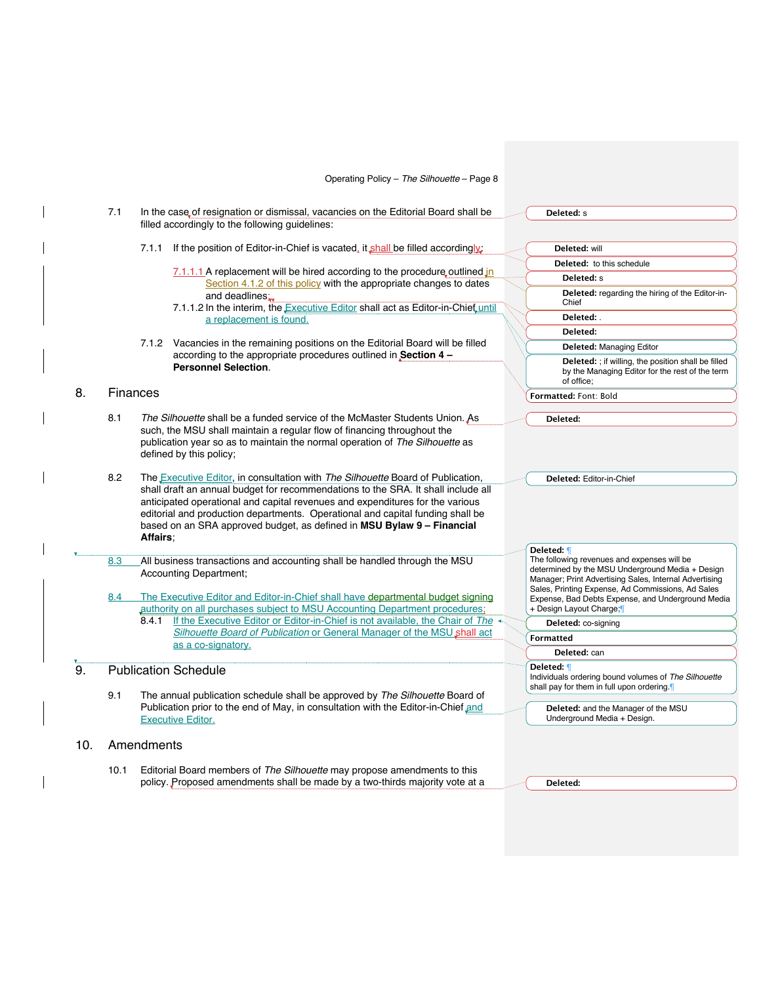|     | 7.1      | In the case of resignation or dismissal, vacancies on the Editorial Board shall be<br>filled accordingly to the following guidelines:                                                                                                                                         |                                                                                                                                                                                                                                                                                                                                                                                                                          | Deleted: s                                                                                                                                                                                                                                      |  |
|-----|----------|-------------------------------------------------------------------------------------------------------------------------------------------------------------------------------------------------------------------------------------------------------------------------------|--------------------------------------------------------------------------------------------------------------------------------------------------------------------------------------------------------------------------------------------------------------------------------------------------------------------------------------------------------------------------------------------------------------------------|-------------------------------------------------------------------------------------------------------------------------------------------------------------------------------------------------------------------------------------------------|--|
|     |          |                                                                                                                                                                                                                                                                               |                                                                                                                                                                                                                                                                                                                                                                                                                          |                                                                                                                                                                                                                                                 |  |
|     |          | 7.1.1                                                                                                                                                                                                                                                                         | If the position of Editor-in-Chief is vacated, it shall be filled accordingly:                                                                                                                                                                                                                                                                                                                                           | Deleted: will                                                                                                                                                                                                                                   |  |
|     |          |                                                                                                                                                                                                                                                                               |                                                                                                                                                                                                                                                                                                                                                                                                                          | <b>Deleted:</b> to this schedule                                                                                                                                                                                                                |  |
|     |          |                                                                                                                                                                                                                                                                               | $7.1.1.1$ A replacement will be hired according to the procedure outlined in<br>Section 4.1.2 of this policy with the appropriate changes to dates                                                                                                                                                                                                                                                                       | Deleted: s                                                                                                                                                                                                                                      |  |
|     |          |                                                                                                                                                                                                                                                                               | and deadlines:<br>7.1.1.2 In the interim, the Executive Editor shall act as Editor-in-Chiet until                                                                                                                                                                                                                                                                                                                        | Deleted: regarding the hiring of the Editor-in-<br>Chief                                                                                                                                                                                        |  |
|     |          |                                                                                                                                                                                                                                                                               | a replacement is found.                                                                                                                                                                                                                                                                                                                                                                                                  | Deleted: .                                                                                                                                                                                                                                      |  |
|     |          |                                                                                                                                                                                                                                                                               |                                                                                                                                                                                                                                                                                                                                                                                                                          | Deleted:                                                                                                                                                                                                                                        |  |
|     |          |                                                                                                                                                                                                                                                                               | 7.1.2 Vacancies in the remaining positions on the Editorial Board will be filled                                                                                                                                                                                                                                                                                                                                         | <b>Deleted: Managing Editor</b>                                                                                                                                                                                                                 |  |
|     |          |                                                                                                                                                                                                                                                                               | according to the appropriate procedures outlined in Section 4 -<br><b>Personnel Selection.</b>                                                                                                                                                                                                                                                                                                                           | Deleted: ; if willing, the position shall be filled<br>by the Managing Editor for the rest of the term<br>of office;                                                                                                                            |  |
| 8.  | Finances |                                                                                                                                                                                                                                                                               |                                                                                                                                                                                                                                                                                                                                                                                                                          | Formatted: Font: Bold                                                                                                                                                                                                                           |  |
|     | 8.1      | The Silhouette shall be a funded service of the McMaster Students Union. As<br>Deleted:<br>such, the MSU shall maintain a regular flow of financing throughout the<br>publication year so as to maintain the normal operation of The Silhouette as<br>defined by this policy; |                                                                                                                                                                                                                                                                                                                                                                                                                          |                                                                                                                                                                                                                                                 |  |
|     | 8.2      | <b>Affairs:</b>                                                                                                                                                                                                                                                               | The <b>Executive Editor, in consultation with</b> The Silhouette Board of Publication,<br>shall draft an annual budget for recommendations to the SRA. It shall include all<br>anticipated operational and capital revenues and expenditures for the various<br>editorial and production departments. Operational and capital funding shall be<br>based on an SRA approved budget, as defined in MSU Bylaw 9 - Financial | Deleted: Editor-in-Chief                                                                                                                                                                                                                        |  |
|     | 8.3      |                                                                                                                                                                                                                                                                               | All business transactions and accounting shall be handled through the MSU                                                                                                                                                                                                                                                                                                                                                | Deleted: 1<br>The following revenues and expenses will be                                                                                                                                                                                       |  |
|     | 8.4      |                                                                                                                                                                                                                                                                               | Accounting Department;<br>The Executive Editor and Editor-in-Chief shall have departmental budget signing<br>authority on all purchases subject to MSU Accounting Department procedures;                                                                                                                                                                                                                                 | determined by the MSU Underground Media + Design<br>Manager; Print Advertising Sales, Internal Advertising<br>Sales, Printing Expense, Ad Commissions, Ad Sales<br>Expense, Bad Debts Expense, and Underground Media<br>+ Design Layout Charge; |  |
|     |          | 8.4.1                                                                                                                                                                                                                                                                         | If the Executive Editor or Editor-in-Chief is not available, the Chair of The                                                                                                                                                                                                                                                                                                                                            | Deleted: co-signing                                                                                                                                                                                                                             |  |
|     |          |                                                                                                                                                                                                                                                                               | Silhouette Board of Publication or General Manager of the MSU shall act                                                                                                                                                                                                                                                                                                                                                  | <b>Formatted</b>                                                                                                                                                                                                                                |  |
|     |          |                                                                                                                                                                                                                                                                               | as a co-signatory.                                                                                                                                                                                                                                                                                                                                                                                                       | Deleted: can                                                                                                                                                                                                                                    |  |
| 9.  |          | <b>Publication Schedule</b><br>9.1                                                                                                                                                                                                                                            |                                                                                                                                                                                                                                                                                                                                                                                                                          | Deleted: 1<br>Individuals ordering bound volumes of The Silhouette<br>shall pay for them in full upon ordering.                                                                                                                                 |  |
|     |          |                                                                                                                                                                                                                                                                               | The annual publication schedule shall be approved by The Silhouette Board of<br>Publication prior to the end of May, in consultation with the Editor-in-Chief and<br><b>Executive Editor.</b>                                                                                                                                                                                                                            | Deleted: and the Manager of the MSU<br>Underground Media + Design.                                                                                                                                                                              |  |
| 10. |          | Amendments                                                                                                                                                                                                                                                                    |                                                                                                                                                                                                                                                                                                                                                                                                                          |                                                                                                                                                                                                                                                 |  |
|     | 10.1     |                                                                                                                                                                                                                                                                               | Editorial Board members of The Silhouette may propose amendments to this<br>policy. Proposed amendments shall be made by a two-thirds majority vote at a                                                                                                                                                                                                                                                                 | Deleted:                                                                                                                                                                                                                                        |  |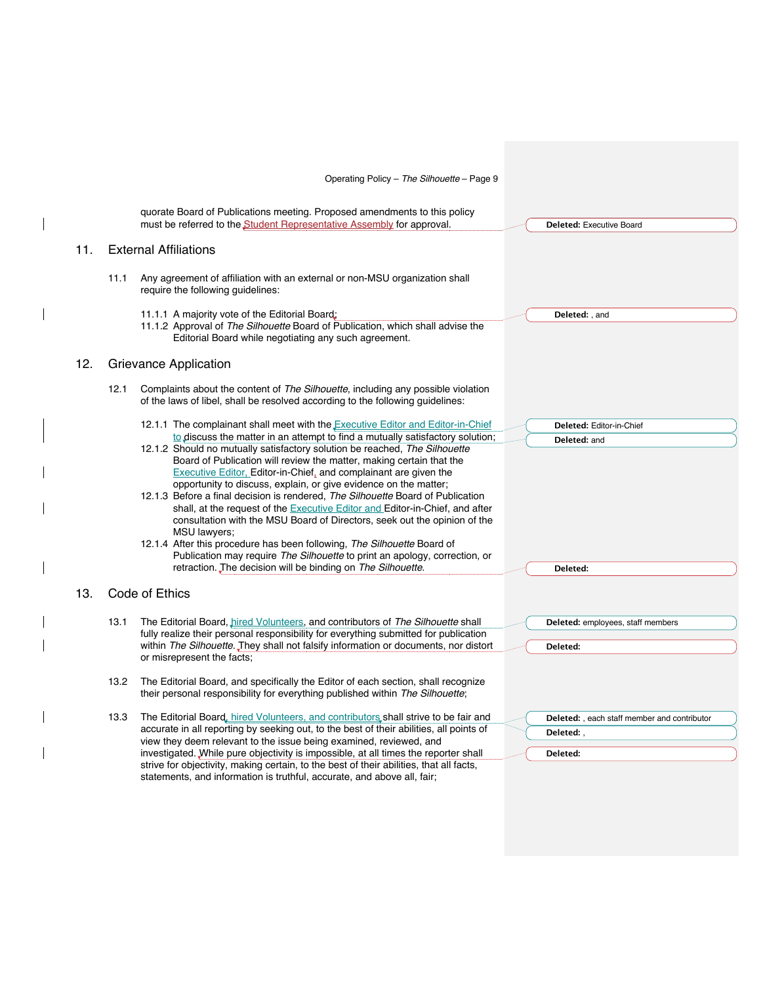|     |      | Operating Policy - The Silhouette - Page 9                                                                                                                                                                                    |                                                     |
|-----|------|-------------------------------------------------------------------------------------------------------------------------------------------------------------------------------------------------------------------------------|-----------------------------------------------------|
|     |      | quorate Board of Publications meeting. Proposed amendments to this policy<br>must be referred to the Student Representative Assembly for approval.                                                                            | Deleted: Executive Board                            |
| 11. |      | <b>External Affiliations</b>                                                                                                                                                                                                  |                                                     |
|     | 11.1 | Any agreement of affiliation with an external or non-MSU organization shall<br>require the following guidelines:                                                                                                              |                                                     |
|     |      | 11.1.1 A majority vote of the Editorial Board;<br>11.1.2 Approval of The Silhouette Board of Publication, which shall advise the<br>Editorial Board while negotiating any such agreement.                                     | Deleted:, and                                       |
| 12. |      | Grievance Application                                                                                                                                                                                                         |                                                     |
|     | 12.1 | Complaints about the content of The Silhouette, including any possible violation<br>of the laws of libel, shall be resolved according to the following guidelines:                                                            |                                                     |
|     |      | 12.1.1 The complainant shall meet with the <b>Executive Editor and Editor-in-Chief</b>                                                                                                                                        | Deleted: Editor-in-Chief                            |
|     |      | to discuss the matter in an attempt to find a mutually satisfactory solution;                                                                                                                                                 | Deleted: and                                        |
|     |      | 12.1.2 Should no mutually satisfactory solution be reached, The Silhouette<br>Board of Publication will review the matter, making certain that the<br><b>Executive Editor, Editor-in-Chief, and complainant are given the</b> |                                                     |
|     |      | opportunity to discuss, explain, or give evidence on the matter;<br>12.1.3 Before a final decision is rendered, The Silhouette Board of Publication                                                                           |                                                     |
|     |      | shall, at the request of the Executive Editor and Editor-in-Chief, and after<br>consultation with the MSU Board of Directors, seek out the opinion of the<br>MSU lawyers;                                                     |                                                     |
|     |      | 12.1.4 After this procedure has been following, The Silhouette Board of                                                                                                                                                       |                                                     |
|     |      | Publication may require The Silhouette to print an apology, correction, or<br>retraction. The decision will be binding on The Silhouette.                                                                                     | Deleted:                                            |
| 13. |      | Code of Ethics                                                                                                                                                                                                                |                                                     |
|     | 13.1 | The Editorial Board, hired Volunteers, and contributors of The Silhouette shall<br>fully realize their personal responsibility for everything submitted for publication                                                       | Deleted: employees, staff members                   |
|     |      | within The Silhouette. They shall not falsify information or documents, nor distort<br>or misrepresent the facts;                                                                                                             | Deleted:                                            |
|     | 13.2 | The Editorial Board, and specifically the Editor of each section, shall recognize<br>their personal responsibility for everything published within The Silhouette;                                                            |                                                     |
|     | 13.3 | The Editorial Board, hired Volunteers, and contributors shall strive to be fair and                                                                                                                                           | <b>Deleted:</b> , each staff member and contributor |
|     |      | accurate in all reporting by seeking out, to the best of their abilities, all points of                                                                                                                                       | Deleted:,                                           |
|     |      | view they deem relevant to the issue being examined, reviewed, and<br>investigated. While pure objectivity is impossible, at all times the reporter shall                                                                     | Deleted:                                            |
|     |      | strive for objectivity, making certain, to the best of their abilities, that all facts,<br>statements, and information is truthful, accurate, and above all, fair;                                                            |                                                     |

 $\begin{array}{c} \hline \end{array}$ 

 $\overline{\phantom{a}}$ 

 $\overline{\phantom{a}}$ 

 $\overline{\phantom{a}}$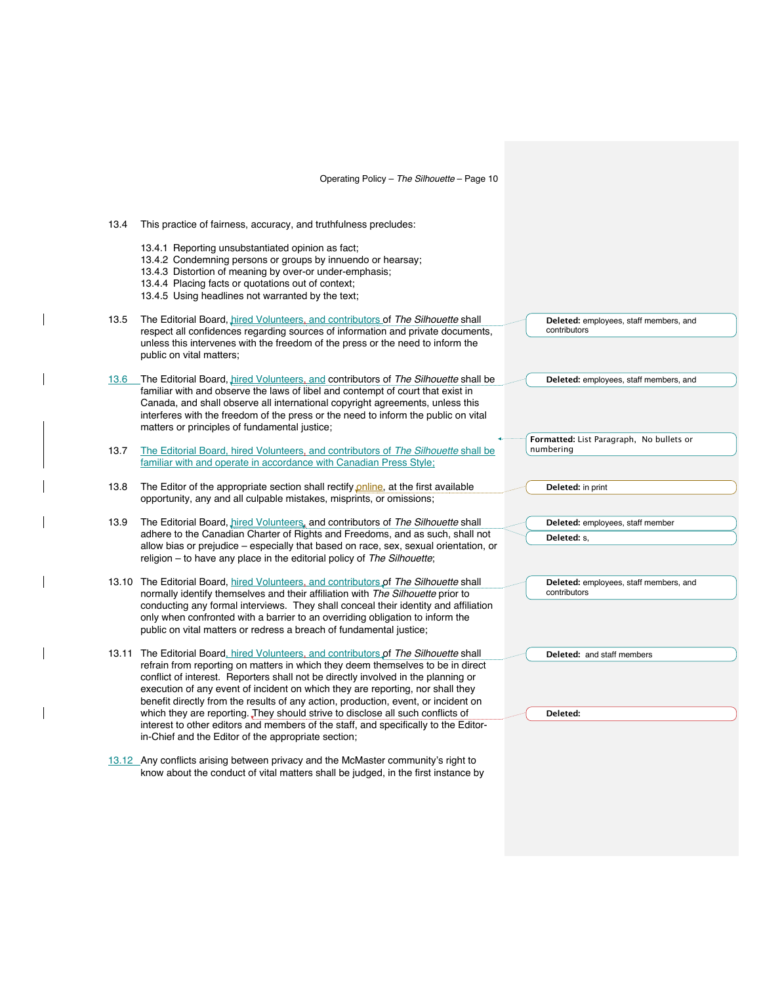13.4 This practice of fairness, accuracy, and truthfulness precludes:

- 13.4.1 Reporting unsubstantiated opinion as fact;
- 13.4.2 Condemning persons or groups by innuendo or hearsay;
- 13.4.3 Distortion of meaning by over-or under-emphasis;
- 13.4.4 Placing facts or quotations out of context;
- 13.4.5 Using headlines not warranted by the text;
- 13.5 The Editorial Board, *hired Volunteers, and contributors of The Silhouette* shall respect all confidences regarding sources of information and private documents, unless this intervenes with the freedom of the press or the need to inform the public on vital matters;
- 13.6 The Editorial Board, hired Volunteers, and contributors of *The Silhouette* shall be familiar with and observe the laws of libel and contempt of court that exist in Canada, and shall observe all international copyright agreements, unless this interferes with the freedom of the press or the need to inform the public on vital matters or principles of fundamental justice;
- 13.7 The Editorial Board, hired Volunteers, and contributors of *The Silhouette* shall be familiar with and operate in accordance with Canadian Press Style;
- 13.8 The Editor of the appropriate section shall rectify *online*, at the first available opportunity, any and all culpable mistakes, misprints, or omissions;
- 13.9 The Editorial Board, *hired Volunteers*, and contributors of *The Silhouette* shall adhere to the Canadian Charter of Rights and Freedoms, and as such, shall not allow bias or prejudice – especially that based on race, sex, sexual orientation, or religion – to have any place in the editorial policy of *The Silhouette*;
- 13.10 The Editorial Board, hired Volunteers, and contributors of *The Silhouette* shall normally identify themselves and their affiliation with *The Silhouette* prior to conducting any formal interviews. They shall conceal their identity and affiliation only when confronted with a barrier to an overriding obligation to inform the public on vital matters or redress a breach of fundamental justice;
- 13.11 The Editorial Board, hired Volunteers, and contributors of *The Silhouette* shall refrain from reporting on matters in which they deem themselves to be in direct conflict of interest. Reporters shall not be directly involved in the planning or execution of any event of incident on which they are reporting, nor shall they benefit directly from the results of any action, production, event, or incident on which they are reporting. They should strive to disclose all such conflicts of interest to other editors and members of the staff, and specifically to the Editorin-Chief and the Editor of the appropriate section;
- 13.12 Any conflicts arising between privacy and the McMaster community's right to know about the conduct of vital matters shall be judged, in the first instance by

**Deleted:** employees, staff members, and contributors

**Deleted:** employees, staff members, and

**Formatted:** List Paragraph, No bullets or numbering

**Deleted:** in print

**Deleted:** employees, staff member **Deleted:** s,

**Deleted:** employees, staff members, and contributors

**Deleted:** and staff members

**Deleted:**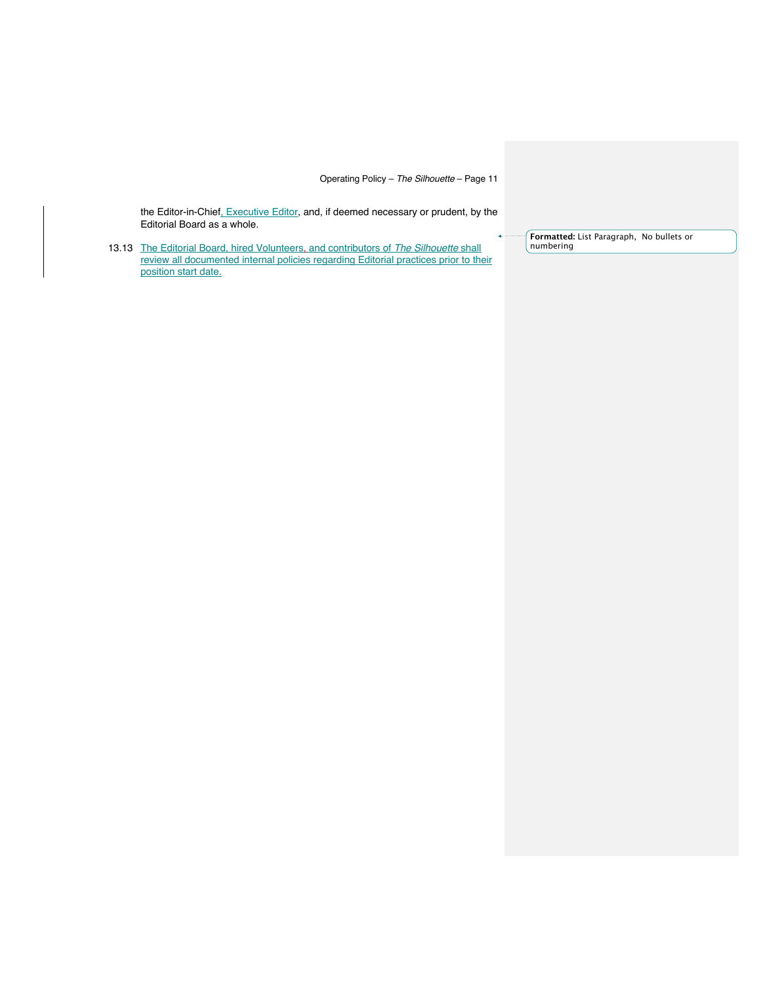the Editor-in-Chief<u>, Executive Editor</u>, and, if deemed necessary or prudent, by the Editorial Board as a whole.

13.13 The Editorial Board, hired Volunteers, and contributors of *The Silhouette* shall review all documented internal policies regarding Editorial practices prior to their position start date.

**Formatted:** List Paragraph, No bullets or numbering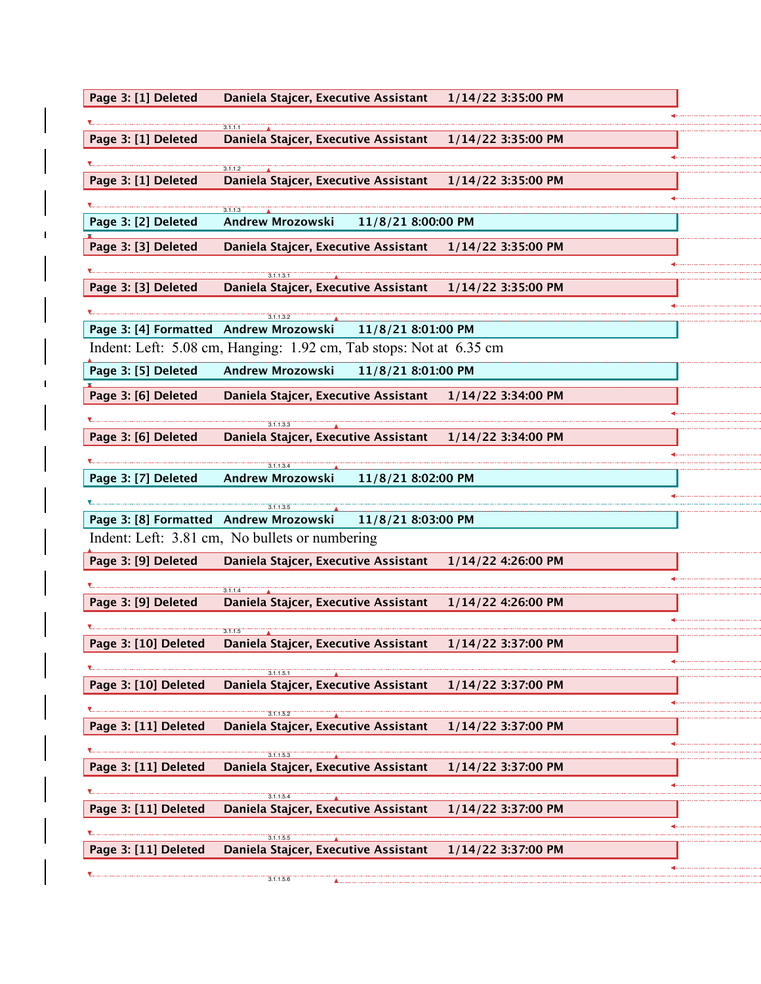| Page 3: [1] Deleted  | Daniela Stajcer, Executive Assistant                               | 1/14/22 3:35:00 PM |  |
|----------------------|--------------------------------------------------------------------|--------------------|--|
|                      |                                                                    |                    |  |
| Page 3: [1] Deleted  | 3.1.1.1<br>Daniela Stajcer, Executive Assistant                    | 1/14/22 3:35:00 PM |  |
|                      |                                                                    |                    |  |
| Page 3: [1] Deleted  | 3.1.1.2<br>Daniela Stajcer, Executive Assistant                    | 1/14/22 3:35:00 PM |  |
|                      |                                                                    |                    |  |
|                      | 3.1.1.3                                                            |                    |  |
| Page 3: [2] Deleted  | <b>Andrew Mrozowski</b><br>11/8/21 8:00:00 PM                      |                    |  |
| Page 3: [3] Deleted  | Daniela Stajcer, Executive Assistant                               | 1/14/22 3:35:00 PM |  |
|                      |                                                                    |                    |  |
| Page 3: [3] Deleted  | Daniela Stajcer, Executive Assistant                               | 1/14/22 3:35:00 PM |  |
|                      |                                                                    |                    |  |
|                      | 3.1.1.3.2                                                          |                    |  |
|                      | Page 3: [4] Formatted Andrew Mrozowski 11/8/21 8:01:00 PM          |                    |  |
|                      | Indent: Left: 5.08 cm, Hanging: 1.92 cm, Tab stops: Not at 6.35 cm |                    |  |
| Page 3: [5] Deleted  | <b>Andrew Mrozowski</b><br>11/8/21 8:01:00 PM                      |                    |  |
| Page 3: [6] Deleted  | Daniela Stajcer, Executive Assistant                               | 1/14/22 3:34:00 PM |  |
|                      |                                                                    |                    |  |
|                      | 3.1.1.3.3                                                          |                    |  |
| Page 3: [6] Deleted  | Daniela Stajcer, Executive Assistant                               | 1/14/22 3:34:00 PM |  |
|                      | 3.1.1.3.4                                                          |                    |  |
| Page 3: [7] Deleted  | Andrew Mrozowski<br>11/8/21 8:02:00 PM                             |                    |  |
|                      | 3.1.1.3.5                                                          |                    |  |
|                      | Page 3: [8] Formatted Andrew Mrozowski 11/8/21 8:03:00 PM          |                    |  |
|                      | Indent: Left: 3.81 cm, No bullets or numbering                     |                    |  |
| Page 3: [9] Deleted  | Daniela Stajcer, Executive Assistant                               | 1/14/22 4:26:00 PM |  |
|                      |                                                                    |                    |  |
|                      | Daniela Stajcer, Executive Assistant                               |                    |  |
| Page 3: [9] Deleted  |                                                                    | 1/14/22 4:26:00 PM |  |
|                      | 3.1.1.5                                                            |                    |  |
| Page 3: [10] Deleted | Daniela Stajcer, Executive Assistant                               | 1/14/22 3:37:00 PM |  |
|                      | 3.1.1.5.1                                                          |                    |  |
| Page 3: [10] Deleted | Daniela Stajcer, Executive Assistant                               | 1/14/22 3:37:00 PM |  |
|                      |                                                                    |                    |  |
| Page 3: [11] Deleted | 3.1.1.5.2<br>Daniela Stajcer, Executive Assistant                  | 1/14/22 3:37:00 PM |  |
|                      |                                                                    |                    |  |
|                      | 3.1.1.5.3                                                          |                    |  |
| Page 3: [11] Deleted | Daniela Stajcer, Executive Assistant                               | 1/14/22 3:37:00 PM |  |
|                      | 3.1.1.5.4                                                          |                    |  |
| Page 3: [11] Deleted | Daniela Stajcer, Executive Assistant                               | 1/14/22 3:37:00 PM |  |
|                      | 3.1.1.5.5                                                          |                    |  |
| Page 3: [11] Deleted | Daniela Stajcer, Executive Assistant                               | 1/14/22 3:37:00 PM |  |
|                      |                                                                    |                    |  |
|                      | 3.1.1.5.6                                                          |                    |  |